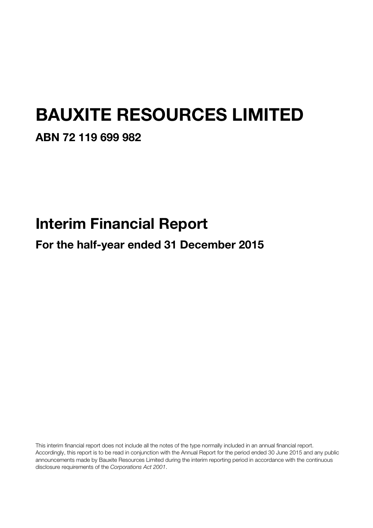# BAUXITE RESOURCES LIMITED

### ABN 72 119 699 982

# Interim Financial Report

For the half-year ended 31 December 2015

This interim financial report does not include all the notes of the type normally included in an annual financial report. Accordingly, this report is to be read in conjunction with the Annual Report for the period ended 30 June 2015 and any public announcements made by Bauxite Resources Limited during the interim reporting period in accordance with the continuous disclosure requirements of the Corporations Act 2001.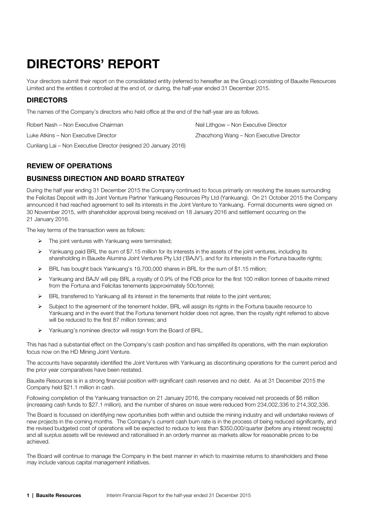## DIRECTORS' REPORT

Your directors submit their report on the consolidated entity (referred to hereafter as the Group) consisting of Bauxite Resources Limited and the entities it controlled at the end of, or during, the half-year ended 31 December 2015.

### DIRECTORS

The names of the Company's directors who held office at the end of the half-year are as follows.

Robert Nash – Non Executive Chairman Neil Lithgow – Non Executive Director

Luke Atkins – Non Executive Director **Zhaozhong Wang – Non Executive Director** Zhaozhong Wang – Non Executive Director

Cunliang Lai – Non Executive Director (resigned 20 January 2016)

### REVIEW OF OPERATIONS

### BUSINESS DIRECTION AND BOARD STRATEGY

During the half year ending 31 December 2015 the Company continued to focus primarily on resolving the issues surrounding the Felicitas Deposit with its Joint Venture Partner Yankuang Resources Pty Ltd (Yankuang). On 21 October 2015 the Company announced it had reached agreement to sell its interests in the Joint Venture to Yankuang. Formal documents were signed on 30 November 2015, with shareholder approval being received on 18 January 2016 and settlement occurring on the 21 January 2016.

The key terms of the transaction were as follows:

- $\triangleright$  The joint ventures with Yankuang were terminated;
- $\triangleright$  Yankuang paid BRL the sum of \$7.15 million for its interests in the assets of the joint ventures, including its shareholding in Bauxite Alumina Joint Ventures Pty Ltd ('BAJV'), and for its interests in the Fortuna bauxite rights;
- BRL has bought back Yankuang's 19,700,000 shares in BRL for the sum of \$1.15 million;
- Yankuang and BAJV will pay BRL a royalty of 0.9% of the FOB price for the first 100 million tonnes of bauxite mined from the Fortuna and Felicitas tenements (approximately 50c/tonne);
- BRL transferred to Yankuang all its interest in the tenements that relate to the joint ventures;
- $\triangleright$  Subject to the agreement of the tenement holder, BRL will assign its rights in the Fortuna bauxite resource to Yankuang and in the event that the Fortuna tenement holder does not agree, then the royalty right referred to above will be reduced to the first 87 million tonnes; and
- $\triangleright$  Yankuang's nominee director will resign from the Board of BRL.

This has had a substantial effect on the Company's cash position and has simplified its operations, with the main exploration focus now on the HD Mining Joint Venture.

The accounts have separately identified the Joint Ventures with Yankuang as discontinuing operations for the current period and the prior year comparatives have been restated.

Bauxite Resources is in a strong financial position with significant cash reserves and no debt. As at 31 December 2015 the Company held \$21.1 million in cash.

Following completion of the Yankuang transaction on 21 January 2016, the company received net proceeds of \$6 million (increasing cash funds to \$27.1 million), and the number of shares on issue were reduced from 234,002,336 to 214,302,336.

The Board is focussed on identifying new oportunities both within and outside the mining industry and will undertake reviews of new projects in the coming months. The Company's current cash burn rate is in the process of being reduced significantly, and the revised budgeted cost of operations will be expected to reduce to less than \$350,000/quarter (before any interest receipts) and all surplus assets will be reviewed and rationalised in an orderly manner as markets allow for reasonable prices to be achieved.

The Board will continue to manage the Company in the best manner in which to maximise returns to shareholders and these may include various capital management initiatives.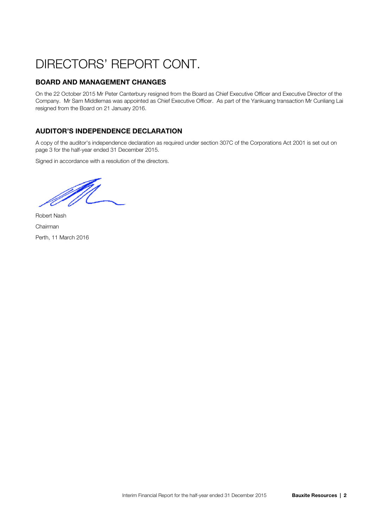## DIRECTORS' REPORT CONT.

### BOARD AND MANAGEMENT CHANGES

On the 22 October 2015 Mr Peter Canterbury resigned from the Board as Chief Executive Officer and Executive Director of the Company. Mr Sam Middlemas was appointed as Chief Executive Officer. As part of the Yankuang transaction Mr Cunliang Lai resigned from the Board on 21 January 2016.

### AUDITOR'S INDEPENDENCE DECLARATION

A copy of the auditor's independence declaration as required under section 307C of the Corporations Act 2001 is set out on page 3 for the half-year ended 31 December 2015.

Signed in accordance with a resolution of the directors.

M<br>M

Robert Nash Chairman Perth, 11 March 2016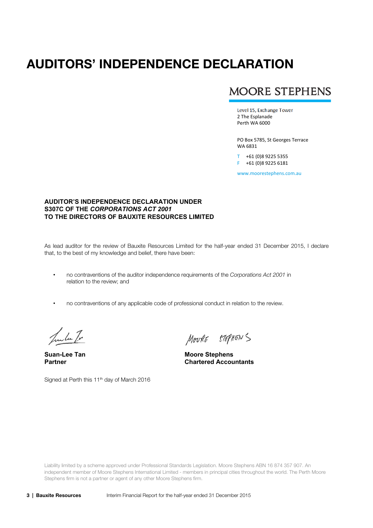### AUDITORS' INDEPENDENCE DECLARATION

### **MOORE STEPHENS**

Level 15, Exchange Tower 2 The Esplanade Perth WA 6000

PO Box 5785, St Georges Terrace WA 6831

T +61 (0)8 9225 5355 F +61 (0)8 9225 6181

www.moorestephens.com.au

#### **AUDITOR'S INDEPENDENCE DECLARATION UNDER S307C OF THE** *CORPORATIONS ACT 2001*  **TO THE DIRECTORS OF BAUXITE RESOURCES LIMITED**

As lead auditor for the review of Bauxite Resources Limited for the half-year ended 31 December 2015, I declare that, to the best of my knowledge and belief, there have been:

- no contraventions of the auditor independence requirements of the Corporations Act 2001 in relation to the review; and
- no contraventions of any applicable code of professional conduct in relation to the review.

Junta Tr

MOURE STEPHENS

**Suan-Lee Tan Moore Stephens Partner Chartered Accountants** 

Signed at Perth this 11<sup>th</sup> day of March 2016

Liability limited by a scheme approved under Professional Standards Legislation. Moore Stephens ABN 16 874 357 907. An independent member of Moore Stephens International Limited - members in principal cities throughout the world. The Perth Moore Stephens firm is not a partner or agent of any other Moore Stephens firm.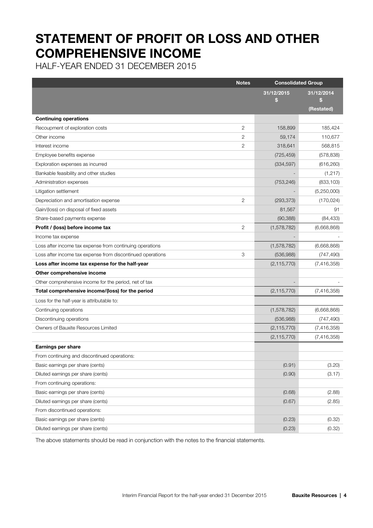### STATEMENT OF PROFIT OR LOSS AND OTHER COMPREHENSIVE INCOME

HALF-YEAR ENDED 31 DECEMBER 2015

|                                                            | <b>Notes</b>   | <b>Consolidated Group</b> |                  |
|------------------------------------------------------------|----------------|---------------------------|------------------|
|                                                            |                | 31/12/2015<br>\$          | 31/12/2014<br>\$ |
|                                                            |                |                           | (Restated)       |
| <b>Continuing operations</b>                               |                |                           |                  |
| Recoupment of exploration costs                            | 2              | 158,899                   | 185,424          |
| Other income                                               | 2              | 59,174                    | 110,677          |
| Interest income                                            | $\overline{2}$ | 318,641                   | 568,815          |
| Employee benefits expense                                  |                | (725, 459)                | (578, 838)       |
| Exploration expenses as incurred                           |                | (334, 597)                | (616, 260)       |
| Bankable feasibility and other studies                     |                |                           | (1, 217)         |
| Administration expenses                                    |                | (753, 246)                | (833, 103)       |
| Litigation settlement                                      |                |                           | (5,250,000)      |
| Depreciation and amortisation expense                      | $\overline{2}$ | (293, 373)                | (170, 024)       |
| Gain/(loss) on disposal of fixed assets                    |                | 81,567                    | 91               |
| Share-based payments expense                               |                | (90, 388)                 | (84, 433)        |
| Profit / (loss) before income tax                          | $\overline{2}$ | (1, 578, 782)             | (6,668,868)      |
| Income tax expense                                         |                |                           |                  |
| Loss after income tax expense from continuing operations   |                | (1, 578, 782)             | (6,668,868)      |
| Loss after income tax expense from discontinued operations | 3              | (536,988)                 | (747, 490)       |
| Loss after income tax expense for the half-year            |                | (2, 115, 770)             | (7,416,358)      |
| Other comprehensive income                                 |                |                           |                  |
| Other comprehensive income for the period, net of tax      |                |                           |                  |
| Total comprehensive income/(loss) for the period           |                | (2, 115, 770)             | (7, 416, 358)    |
| Loss for the half-year is attributable to:                 |                |                           |                  |
| Continuing operations                                      |                | (1,578,782)               | (6,668,868)      |
| Discontinuing operations                                   |                | (536, 988)                | (747, 490)       |
| Owners of Bauxite Resources Limited                        |                | (2, 115, 770)             | (7,416,358)      |
|                                                            |                | (2, 115, 770)             | (7,416,358)      |
| Earnings per share                                         |                |                           |                  |
| From continuing and discontinued operations:               |                |                           |                  |
| Basic earnings per share (cents)                           |                | (0.91)                    | (3.20)           |
| Diluted earnings per share (cents)                         |                | (0.90)                    | (3.17)           |
| From continuing operations:                                |                |                           |                  |
| Basic earnings per share (cents)                           |                | (0.68)                    | (2.88)           |
| Diluted earnings per share (cents)                         |                | (0.67)                    | (2.85)           |
| From discontinued operations:                              |                |                           |                  |
| Basic earnings per share (cents)                           |                | (0.23)                    | (0.32)           |
| Diluted earnings per share (cents)                         |                | (0.23)                    | (0.32)           |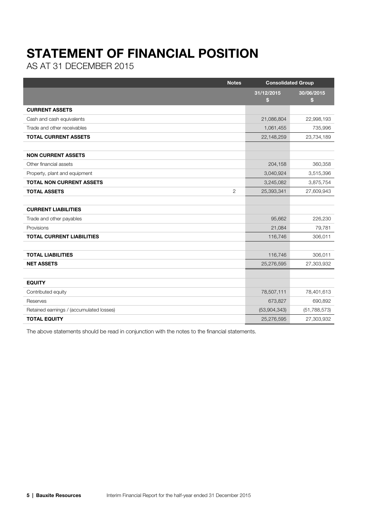## STATEMENT OF FINANCIAL POSITION

AS AT 31 DECEMBER 2015

| <b>Notes</b>                             | <b>Consolidated Group</b>  |                  |
|------------------------------------------|----------------------------|------------------|
|                                          | 31/12/2015<br>$\mathbf{s}$ | 30/06/2015<br>\$ |
| <b>CURRENT ASSETS</b>                    |                            |                  |
| Cash and cash equivalents                | 21,086,804                 | 22,998,193       |
| Trade and other receivables              | 1,061,455                  | 735,996          |
| <b>TOTAL CURRENT ASSETS</b>              | 22,148,259                 | 23,734,189       |
|                                          |                            |                  |
| <b>NON CURRENT ASSETS</b>                |                            |                  |
| Other financial assets                   | 204,158                    | 360,358          |
| Property, plant and equipment            | 3,040,924                  | 3,515,396        |
| <b>TOTAL NON CURRENT ASSETS</b>          | 3,245,082                  | 3,875,754        |
| <b>TOTAL ASSETS</b><br>$\overline{2}$    | 25,393,341                 | 27,609,943       |
|                                          |                            |                  |
| <b>CURRENT LIABILITIES</b>               |                            |                  |
| Trade and other payables                 | 95,662                     | 226,230          |
| Provisions                               | 21,084                     | 79,781           |
| <b>TOTAL CURRENT LIABILITIES</b>         | 116,746                    | 306,011          |
|                                          |                            |                  |
| <b>TOTAL LIABILITIES</b>                 | 116,746                    | 306,011          |
| <b>NET ASSETS</b>                        | 25,276,595                 | 27,303,932       |
|                                          |                            |                  |
| <b>EQUITY</b>                            |                            |                  |
| Contributed equity                       | 78,507,111                 | 78,401,613       |
| Reserves                                 | 673,827                    | 690,892          |
| Retained earnings / (accumulated losses) | (53,904,343)               | (51, 788, 573)   |
| <b>TOTAL EQUITY</b>                      | 25,276,595                 | 27,303,932       |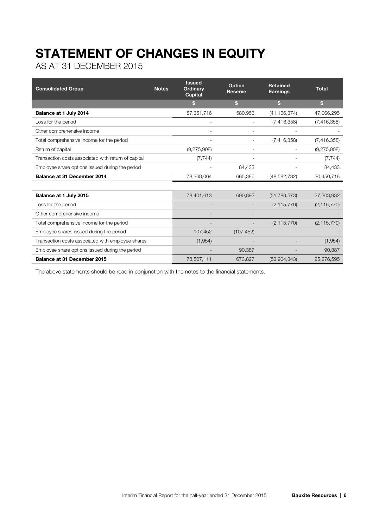# STATEMENT OF CHANGES IN EQUITY

AS AT 31 DECEMBER 2015

| <b>Consolidated Group</b>                           | <b>Notes</b> | <b>Issued</b><br><b>Ordinarv</b><br>Capital | <b>Option</b><br><b>Reserve</b> | <b>Retained</b><br><b>Earnings</b> | <b>Total</b>  |
|-----------------------------------------------------|--------------|---------------------------------------------|---------------------------------|------------------------------------|---------------|
|                                                     |              | S                                           | \$                              | \$                                 | \$            |
| Balance at 1 July 2014                              |              | 87,651,716                                  | 580,953                         | (41, 166, 374)                     | 47,066,295    |
| Loss for the period                                 |              |                                             |                                 | (7,416,358)                        | (7, 416, 358) |
| Other comprehensive income                          |              |                                             |                                 |                                    |               |
| Total comprehensive income for the period           |              |                                             |                                 | (7,416,358)                        | (7,416,358)   |
| Return of capital                                   |              | (9,275,908)                                 |                                 |                                    | (9,275,908)   |
| Transaction costs associated with return of capital |              | (7, 744)                                    |                                 |                                    | (7, 744)      |
| Employee share options issued during the period     |              |                                             | 84,433                          |                                    | 84,433        |
| Balance at 31 December 2014                         |              | 78,368,064                                  | 665,386                         | (48, 582, 732)                     | 30,450,718    |
|                                                     |              |                                             |                                 |                                    |               |
| Balance at 1 July 2015                              |              | 78,401,613                                  | 690,892                         | (51, 788, 573)                     | 27,303,932    |
| Loss for the period                                 |              |                                             |                                 | (2, 115, 770)                      | (2, 115, 770) |
| Other comprehensive income                          |              |                                             |                                 |                                    |               |
| Total comprehensive income for the period           |              |                                             |                                 | (2, 115, 770)                      | (2, 115, 770) |
| Employee shares issued during the period            |              | 107,452                                     | (107, 452)                      |                                    |               |
| Transaction costs associated with employee shares   |              | (1,954)                                     |                                 |                                    | (1,954)       |
| Employee share options issued during the period     |              |                                             | 90,387                          |                                    | 90,387        |
| <b>Balance at 31 December 2015</b>                  |              | 78,507,111                                  | 673,827                         | (53,904,343)                       | 25,276,595    |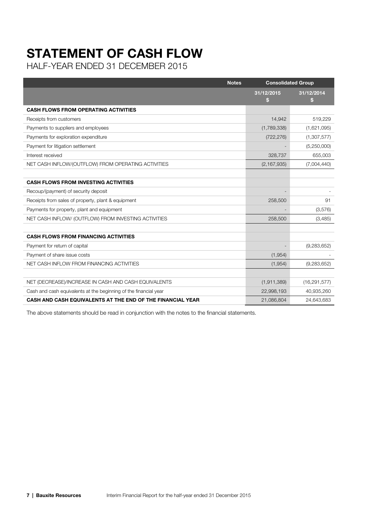# STATEMENT OF CASH FLOW

HALF-YEAR ENDED 31 DECEMBER 2015

| <b>Notes</b>                                                     |                  | <b>Consolidated Group</b> |
|------------------------------------------------------------------|------------------|---------------------------|
|                                                                  | 31/12/2015<br>S. | 31/12/2014<br>S           |
| <b>CASH FLOWS FROM OPERATING ACTIVITIES</b>                      |                  |                           |
| Receipts from customers                                          | 14,942           | 519,229                   |
| Payments to suppliers and employees                              | (1,789,338)      | (1,621,095)               |
| Payments for exploration expenditure                             | (722, 276)       | (1,307,577)               |
| Payment for litigation settlement                                |                  | (5,250,000)               |
| Interest received                                                | 328,737          | 655,003                   |
| NET CASH INFLOW/(OUTFLOW) FROM OPERATING ACTIVITIES              | (2, 167, 935)    | (7,004,440)               |
|                                                                  |                  |                           |
| <b>CASH FLOWS FROM INVESTING ACTIVITIES</b>                      |                  |                           |
| Recoup/(payment) of security deposit                             |                  |                           |
| Receipts from sales of property, plant & equipment               | 258,500          | 91                        |
| Payments for property, plant and equipment                       |                  | (3,576)                   |
| NET CASH INFLOW/ (OUTFLOW) FROM INVESTING ACTIVITIES             | 258,500          | (3,485)                   |
|                                                                  |                  |                           |
| <b>CASH FLOWS FROM FINANCING ACTIVITIES</b>                      |                  |                           |
| Payment for return of capital                                    |                  | (9, 283, 652)             |
| Payment of share issue costs                                     | (1,954)          |                           |
| NET CASH INFLOW FROM FINANCING ACTIVITIES                        | (1,954)          | (9,283,652)               |
|                                                                  |                  |                           |
| NET (DECREASE)/INCREASE IN CASH AND CASH EQUIVALENTS             | (1, 911, 389)    | (16, 291, 577)            |
| Cash and cash equivalents at the beginning of the financial year | 22,998,193       | 40,935,260                |
| CASH AND CASH EQUIVALENTS AT THE END OF THE FINANCIAL YEAR       | 21,086,804       | 24.643.683                |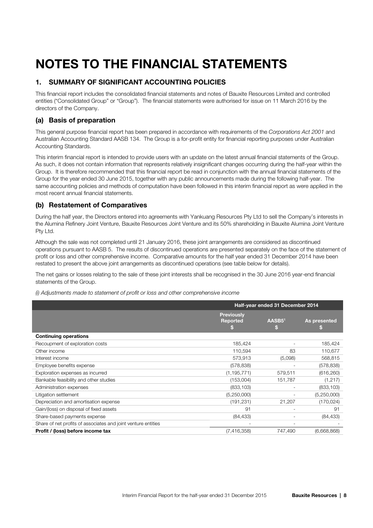## NOTES TO THE FINANCIAL STATEMENTS

#### 1. SUMMARY OF SIGNIFICANT ACCOUNTING POLICIES

This financial report includes the consolidated financial statements and notes of Bauxite Resources Limited and controlled entities ("Consolidated Group" or "Group"). The financial statements were authorised for issue on 11 March 2016 by the directors of the Company.

#### (a) Basis of preparation

This general purpose financial report has been prepared in accordance with requirements of the Corporations Act 2001 and Australian Accounting Standard AASB 134. The Group is a for-profit entity for financial reporting purposes under Australian Accounting Standards.

This interim financial report is intended to provide users with an update on the latest annual financial statements of the Group. As such, it does not contain information that represents relatively insignificant changes occurring during the half-year within the Group. It is therefore recommended that this financial report be read in conjunction with the annual financial statements of the Group for the year ended 30 June 2015, together with any public announcements made during the following half-year. The same accounting policies and methods of computation have been followed in this interim financial report as were applied in the most recent annual financial statements.

#### (b) Restatement of Comparatives

During the half year, the Directors entered into agreements with Yankuang Resources Pty Ltd to sell the Company's interests in the Alumina Refinery Joint Venture, Bauxite Resources Joint Venture and its 50% shareholding in Bauxite Alumina Joint Venture Pty Ltd.

Although the sale was not completed until 21 January 2016, these joint arrangements are considered as discontinued operations pursuant to AASB 5. The results of discontinued operations are presented separately on the face of the statement of profit or loss and other comprehensive income. Comparative amounts for the half year ended 31 December 2014 have been restated to present the above joint arrangements as discontinued operations (see table below for details).

The net gains or losses relating to the sale of these joint interests shall be recognised in the 30 June 2016 year-end financial statements of the Group.

(i) Adjustments made to statement of profit or loss and other comprehensive income

|                                                               | Half-year ended 31 December 2014     |                    |              |
|---------------------------------------------------------------|--------------------------------------|--------------------|--------------|
|                                                               | <b>Previously</b><br><b>Reported</b> | AASB <sub>51</sub> | As presented |
| <b>Continuing operations</b>                                  |                                      |                    |              |
| Recoupment of exploration costs                               | 185,424                              |                    | 185,424      |
| Other income                                                  | 110,594                              | 83                 | 110,677      |
| Interest income                                               | 573,913                              | (5,098)            | 568,815      |
| Employee benefits expense                                     | (578, 838)                           |                    | (578, 838)   |
| Exploration expenses as incurred                              | (1, 195, 771)                        | 579,511            | (616, 260)   |
| Bankable feasibility and other studies                        | (153,004)                            | 151,787            | (1,217)      |
| Administration expenses                                       | (833, 103)                           |                    | (833, 103)   |
| Litigation settlement                                         | (5,250,000)                          |                    | (5,250,000)  |
| Depreciation and amortisation expense                         | (191, 231)                           | 21,207             | (170, 024)   |
| Gain/(loss) on disposal of fixed assets                       | 91                                   |                    | 91           |
| Share-based payments expense                                  | (84, 433)                            |                    | (84, 433)    |
| Share of net profits of associates and joint venture entities |                                      |                    |              |
| Profit / (loss) before income tax                             | (7, 416, 358)                        | 747,490            | (6,668,868)  |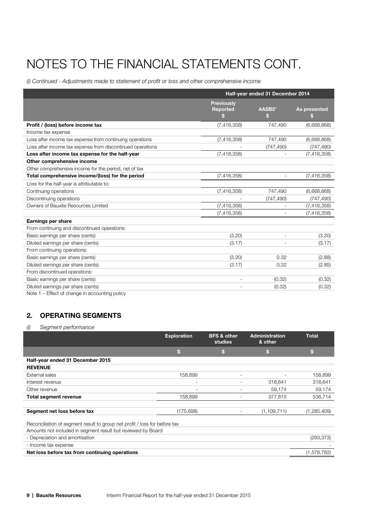# NOTES TO THE FINANCIAL STATEMENTS CONT.

(i) Continued - Adjustments made to statement of profit or loss and other comprehensive income

|                                                            | Half-year ended 31 December 2014          |             |                   |
|------------------------------------------------------------|-------------------------------------------|-------------|-------------------|
|                                                            | <b>Previously</b><br><b>Reported</b><br>S | AASB51<br>S | As presented<br>S |
| Profit / (loss) before income tax                          | (7,416,358)                               | 747,490     | (6,668,868)       |
| Income tax expense                                         |                                           |             |                   |
| Loss after income tax expense from continuing operations   | (7,416,358)                               | 747,490     | (6,668,868)       |
| Loss after income tax expense from discontinued operations |                                           | (747, 490)  | (747, 490)        |
| Loss after income tax expense for the half-year            | (7, 416, 358)                             |             | (7,416,358)       |
| Other comprehensive income                                 |                                           |             |                   |
| Other comprehensive income for the period, net of tax      |                                           |             |                   |
| Total comprehensive income/(loss) for the period           | (7,416,358)                               |             | (7,416,358)       |
| Loss for the half-year is attributable to:                 |                                           |             |                   |
| Continuing operations                                      | (7, 416, 358)                             | 747,490     | (6,668,868)       |
| Discontinuing operations                                   |                                           | (747, 490)  | (747, 490)        |
| Owners of Bauxite Resources Limited                        | (7, 416, 358)                             |             | (7, 416, 358)     |
|                                                            | (7, 416, 358)                             |             | (7,416,358)       |
| Earnings per share                                         |                                           |             |                   |
| From continuing and discontinued operations:               |                                           |             |                   |
| Basic earnings per share (cents)                           | (3.20)                                    |             | (3.20)            |
| Diluted earnings per share (cents)                         | (3.17)                                    |             | (3.17)            |
| From continuing operations:                                |                                           |             |                   |
| Basic earnings per share (cents)                           | (3.20)                                    | 0.32        | (2.88)            |
| Diluted earnings per share (cents)                         | (3.17)                                    | 0.32        | (2.85)            |
| From discontinued operations:                              |                                           |             |                   |
| Basic earnings per share (cents)                           |                                           | (0.32)      | (0.32)            |
| Diluted earnings per share (cents)                         |                                           | (0.32)      | (0.32)            |

Note 1 – Effect of change in accounting policy

### 2. OPERATING SEGMENTS

#### (i) Segment performance

|                                                                                                                                                                                                       | <b>Exploration</b> | <b>BFS &amp; other</b><br>studies | <b>Administration</b><br>& other | <b>Total</b> |
|-------------------------------------------------------------------------------------------------------------------------------------------------------------------------------------------------------|--------------------|-----------------------------------|----------------------------------|--------------|
|                                                                                                                                                                                                       | S                  | S                                 | \$                               | \$           |
| Half-year ended 31 December 2015                                                                                                                                                                      |                    |                                   |                                  |              |
| <b>REVENUE</b>                                                                                                                                                                                        |                    |                                   |                                  |              |
| External sales                                                                                                                                                                                        | 158,899            | ٠                                 | ٠                                | 158,899      |
| Interest revenue                                                                                                                                                                                      | ٠                  |                                   | 318,641                          | 318,641      |
| Other revenue                                                                                                                                                                                         | ٠                  |                                   | 59,174                           | 59,174       |
| <b>Total segment revenue</b>                                                                                                                                                                          | 158,899            |                                   | 377,815                          | 536,714      |
|                                                                                                                                                                                                       |                    |                                   |                                  |              |
| Segment net loss before tax                                                                                                                                                                           | (175, 698)         |                                   | (1, 109, 711)                    | (1,285,409)  |
| Reconciliation of segment result to group net profit / loss for before tax<br>Amounts not included in segment result but reviewed by Board<br>- Depreciation and amortisation<br>- Income tax expense |                    |                                   |                                  | (293,373)    |
| Net loss before tax from continuing operations                                                                                                                                                        |                    |                                   |                                  | (1,578,782)  |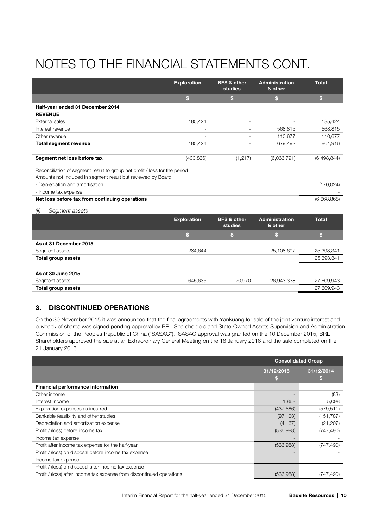# NOTES TO THE FINANCIAL STATEMENTS CONT.

|                                                                                                                                            | <b>Exploration</b> | <b>BFS &amp; other</b><br>studies | <b>Administration</b><br>& other | Total        |
|--------------------------------------------------------------------------------------------------------------------------------------------|--------------------|-----------------------------------|----------------------------------|--------------|
|                                                                                                                                            | \$                 | \$                                | \$                               | $\mathbf{s}$ |
| Half-year ended 31 December 2014                                                                                                           |                    |                                   |                                  |              |
| <b>REVENUE</b>                                                                                                                             |                    |                                   |                                  |              |
| External sales                                                                                                                             | 185,424            |                                   |                                  | 185,424      |
| Interest revenue                                                                                                                           |                    |                                   | 568,815                          | 568,815      |
| Other revenue                                                                                                                              | ۰                  | ٠                                 | 110,677                          | 110,677      |
| <b>Total segment revenue</b>                                                                                                               | 185,424            | ٠                                 | 679,492                          | 864,916      |
|                                                                                                                                            |                    |                                   |                                  |              |
| Segment net loss before tax                                                                                                                | (430, 836)         | (1, 217)                          | (6,066,791)                      | (6,498,844)  |
| Reconciliation of segment result to group net profit / loss for the period<br>Amounts not included in segment result but reviewed by Board |                    |                                   |                                  |              |
| - Depreciation and amortisation                                                                                                            |                    |                                   |                                  | (170, 024)   |
| - Income tax expense                                                                                                                       |                    |                                   |                                  |              |
| Net loss before tax from continuing operations                                                                                             |                    |                                   |                                  | (6,668,868)  |
| Segment assets<br>(ii)                                                                                                                     |                    |                                   |                                  |              |
|                                                                                                                                            | <b>Exploration</b> | <b>BFS &amp; other</b><br>studies | <b>Administration</b><br>& other | <b>Total</b> |

|                        |         | 500000 | а опет     |            |
|------------------------|---------|--------|------------|------------|
|                        | h.      |        |            | h.         |
| As at 31 December 2015 |         |        |            |            |
| Segment assets         | 284,644 |        | 25,108,697 | 25,393,341 |
| Total group assets     |         |        |            | 25,393,341 |
|                        |         |        |            |            |
| As at 30 June 2015     |         |        |            |            |
| Segment assets         | 645,635 | 20,970 | 26,943,338 | 27,609,943 |
| Total group assets     |         |        |            | 27,609,943 |

### 3. DISCONTINUED OPERATIONS

On the 30 November 2015 it was announced that the final agreements with Yankuang for sale of the joint venture interest and buyback of shares was signed pending approval by BRL Shareholders and State-Owned Assets Supervision and Administration Commission of the Peoples Republic of China ("SASAC"). SASAC approval was granted on the 10 December 2015, BRL Shareholders approved the sale at an Extraordinary General Meeting on the 18 January 2016 and the sale completed on the 21 January 2016.

|                                                                       | <b>Consolidated Group</b> |                  |
|-----------------------------------------------------------------------|---------------------------|------------------|
|                                                                       | 31/12/2015<br>w           | 31/12/2014<br>ы. |
| Financial performance information                                     |                           |                  |
| Other income                                                          |                           | (83)             |
| Interest income                                                       | 1,868                     | 5,098            |
| Exploration expenses as incurred                                      | (437,586)                 | (579.511)        |
| Bankable feasibility and other studies                                | (97, 103)                 | (151, 787)       |
| Depreciation and amortisation expense                                 | (4, 167)                  | (21, 207)        |
| Profit / (loss) before income tax                                     | (536,988)                 | (747, 490)       |
| Income tax expense                                                    |                           |                  |
| Profit after income tax expense for the half-year                     | (536,988)                 | (747, 490)       |
| Profit / (loss) on disposal before income tax expense                 |                           |                  |
| Income tax expense                                                    |                           |                  |
| Profit / (loss) on disposal after income tax expense                  |                           |                  |
| Profit / (loss) after income tax expense from discontinued operations | (536,988)                 | (747,490)        |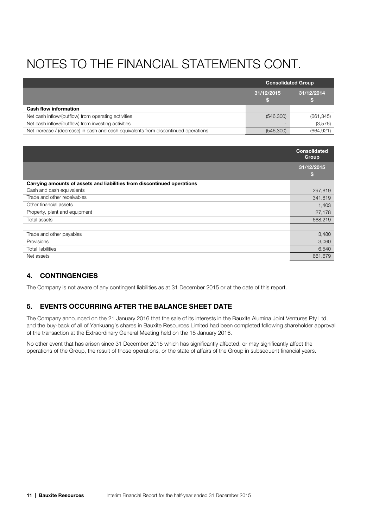# NOTES TO THE FINANCIAL STATEMENTS CONT.

|                                                                                     | <b>Consolidated Group</b> |            |
|-------------------------------------------------------------------------------------|---------------------------|------------|
|                                                                                     | 31/12/2015                | 31/12/2014 |
| <b>Cash flow information</b>                                                        |                           |            |
| Net cash inflow/(outflow) from operating activities                                 | (546,300)                 | (661, 345) |
| Net cash inflow/(outflow) from investing activities                                 |                           | (3,576)    |
| Net increase / (decrease) in cash and cash equivalents from discontinued operations | (546,300)                 | (664, 921) |

|                                                                         | <b>Consolidated</b><br><b>Group</b> |
|-------------------------------------------------------------------------|-------------------------------------|
|                                                                         | 31/12/2015<br>S                     |
| Carrying amounts of assets and liabilities from discontinued operations |                                     |
| Cash and cash equivalents                                               | 297,819                             |
| Trade and other receivables                                             | 341,819                             |
| Other financial assets                                                  | 1,403                               |
| Property, plant and equipment                                           | 27,178                              |
| Total assets                                                            | 668,219                             |
|                                                                         |                                     |
| Trade and other payables                                                | 3,480                               |
| Provisions                                                              | 3,060                               |
| <b>Total liabilities</b>                                                | 6,540                               |
| Net assets                                                              | 661,679                             |

### 4. CONTINGENCIES

The Company is not aware of any contingent liabilities as at 31 December 2015 or at the date of this report.

#### 5. EVENTS OCCURRING AFTER THE BALANCE SHEET DATE

The Company announced on the 21 January 2016 that the sale of its interests in the Bauxite Alumina Joint Ventures Pty Ltd, and the buy-back of all of Yankuang's shares in Bauxite Resources Limited had been completed following shareholder approval of the transaction at the Extraordinary General Meeting held on the 18 January 2016.

No other event that has arisen since 31 December 2015 which has significantly affected, or may significantly affect the operations of the Group, the result of those operations, or the state of affairs of the Group in subsequent financial years.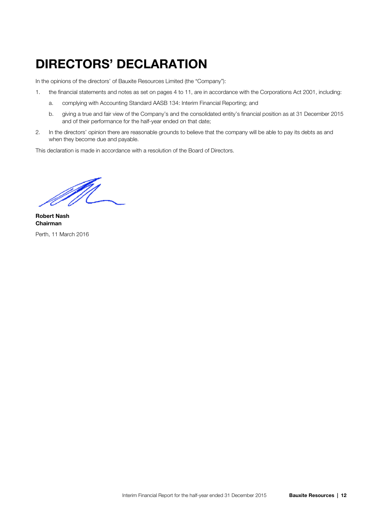### DIRECTORS' DECLARATION

In the opinions of the directors' of Bauxite Resources Limited (the "Company"):

- 1. the financial statements and notes as set on pages 4 to 11, are in accordance with the Corporations Act 2001, including:
	- a. complying with Accounting Standard AASB 134: Interim Financial Reporting; and
	- b. giving a true and fair view of the Company's and the consolidated entity's financial position as at 31 December 2015 and of their performance for the half-year ended on that date;
- 2. In the directors' opinion there are reasonable grounds to believe that the company will be able to pay its debts as and when they become due and payable.

This declaration is made in accordance with a resolution of the Board of Directors.

M

Robert Nash Chairman Perth, 11 March 2016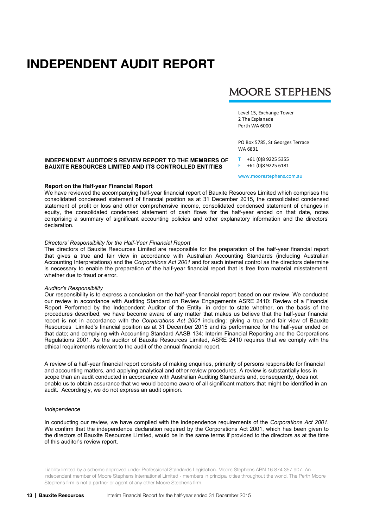### INDEPENDENT AUDIT REPORT

### **MOORE STEPHENS**

Level 15, Exchange Tower 2 The Esplanade Perth WA 6000

PO Box 5785, St Georges Terrace WA 6831

#### **INDEPENDENT AUDITOR'S REVIEW REPORT TO THE MEMBERS OF BAUXITE RESOURCES LIMITED AND ITS CONTROLLED ENTITIES**

www.moorestephens.com.au

T +61 (0)8 9225 5355 F +61 (0)8 9225 6181

#### **Report on the Half-year Financial Report**

We have reviewed the accompanying half-year financial report of Bauxite Resources Limited which comprises the consolidated condensed statement of financial position as at 31 December 2015, the consolidated condensed statement of profit or loss and other comprehensive income, consolidated condensed statement of changes in equity, the consolidated condensed statement of cash flows for the half-year ended on that date, notes comprising a summary of significant accounting policies and other explanatory information and the directors' declaration.

#### *Directors' Responsibility for the Half-Year Financial Report*

The directors of Bauxite Resources Limited are responsible for the preparation of the half-year financial report that gives a true and fair view in accordance with Australian Accounting Standards (including Australian Accounting Interpretations) and the *Corporations Act 2001* and for such internal control as the directors determine is necessary to enable the preparation of the half-year financial report that is free from material misstatement, whether due to fraud or error.

#### *Auditor's Responsibility*

Our responsibility is to express a conclusion on the half-year financial report based on our review. We conducted our review in accordance with Auditing Standard on Review Engagements ASRE 2410: Review of a Financial Report Performed by the Independent Auditor of the Entity, in order to state whether, on the basis of the procedures described, we have become aware of any matter that makes us believe that the half-year financial report is not in accordance with the *Corporations Act 2001* including: giving a true and fair view of Bauxite Resources Limited's financial position as at 31 December 2015 and its performance for the half-year ended on that date; and complying with Accounting Standard AASB 134: Interim Financial Reporting and the Corporations Regulations 2001. As the auditor of Bauxite Resources Limited, ASRE 2410 requires that we comply with the ethical requirements relevant to the audit of the annual financial report.

A review of a half-year financial report consists of making enquiries, primarily of persons responsible for financial and accounting matters, and applying analytical and other review procedures. A review is substantially less in scope than an audit conducted in accordance with Australian Auditing Standards and, consequently, does not enable us to obtain assurance that we would become aware of all significant matters that might be identified in an audit. Accordingly, we do not express an audit opinion.

#### *Independence*

In conducting our review, we have complied with the independence requirements of the *Corporations Act 2001*. We confirm that the independence declaration required by the Corporations Act 2001, which has been given to the directors of Bauxite Resources Limited, would be in the same terms if provided to the directors as at the time of this auditor's review report.

Liability limited by a scheme approved under Professional Standards Legislation. Moore Stephens ABN 16 874 357 907. An independent member of Moore Stephens International Limited - members in principal cities throughout the world. The Perth Moore Stephens firm is not a partner or agent of any other Moore Stephens firm.